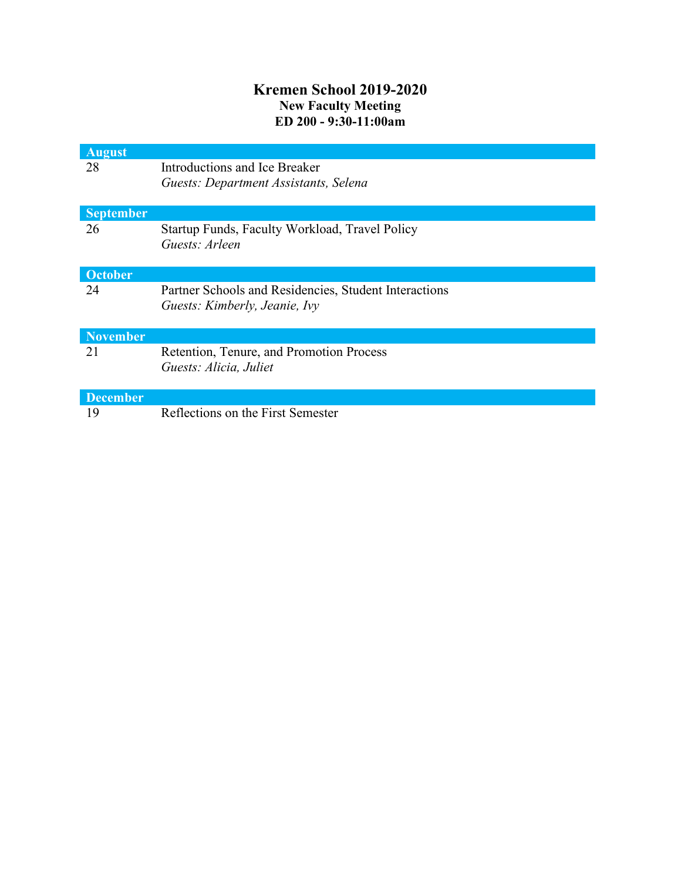## **Kremen School 2019-2020 New Faculty Meeting ED 200 - 9:30-11:00am**

| <b>August</b>    |                                                       |
|------------------|-------------------------------------------------------|
| 28               | Introductions and Ice Breaker                         |
|                  | Guests: Department Assistants, Selena                 |
|                  |                                                       |
| <b>September</b> |                                                       |
| 26               | Startup Funds, Faculty Workload, Travel Policy        |
|                  | Guests: Arleen                                        |
|                  |                                                       |
| October          |                                                       |
| 24               | Partner Schools and Residencies, Student Interactions |
|                  | Guests: Kimberly, Jeanie, Ivy                         |
|                  |                                                       |
| <b>November</b>  |                                                       |
| 21               | Retention, Tenure, and Promotion Process              |
|                  | Guests: Alicia, Juliet                                |
|                  |                                                       |
| <b>December</b>  |                                                       |
| 19               | Reflections on the First Semester                     |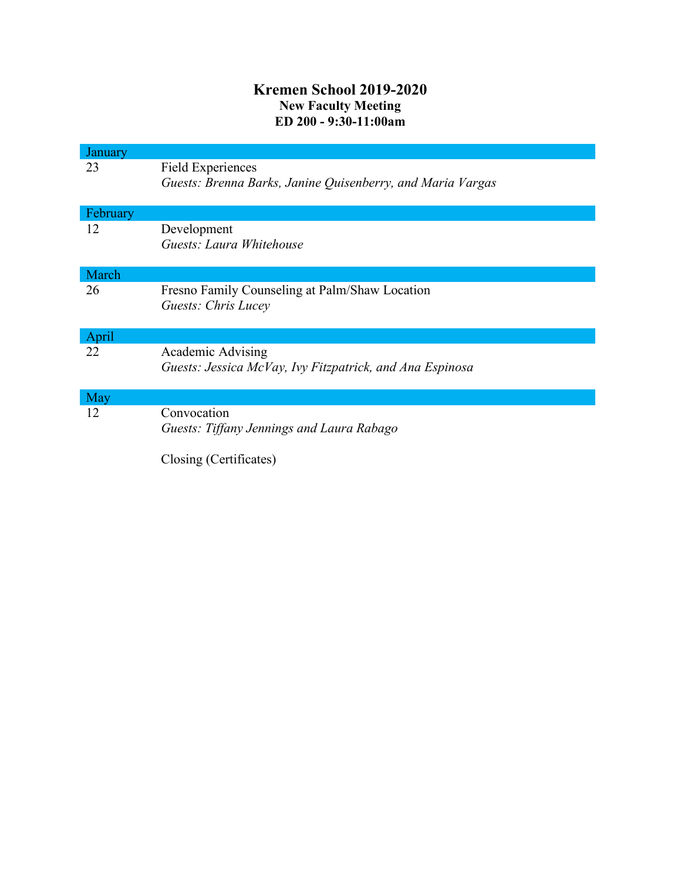## **Kremen School 2019-2020 New Faculty Meeting ED 200 - 9:30-11:00am**

| January  |                                                            |
|----------|------------------------------------------------------------|
| 23       | <b>Field Experiences</b>                                   |
|          | Guests: Brenna Barks, Janine Quisenberry, and Maria Vargas |
| February |                                                            |
| 12       | Development                                                |
|          | Guests: Laura Whitehouse                                   |
| March    |                                                            |
| 26       | Fresno Family Counseling at Palm/Shaw Location             |
|          | <b>Guests: Chris Lucey</b>                                 |
|          |                                                            |
| April    |                                                            |
| 22       | Academic Advising                                          |
|          | Guests: Jessica McVay, Ivy Fitzpatrick, and Ana Espinosa   |
|          |                                                            |
| May      |                                                            |
| 12       | Convocation                                                |
|          | Guests: Tiffany Jennings and Laura Rabago                  |
|          | Closing (Certificates)                                     |
|          |                                                            |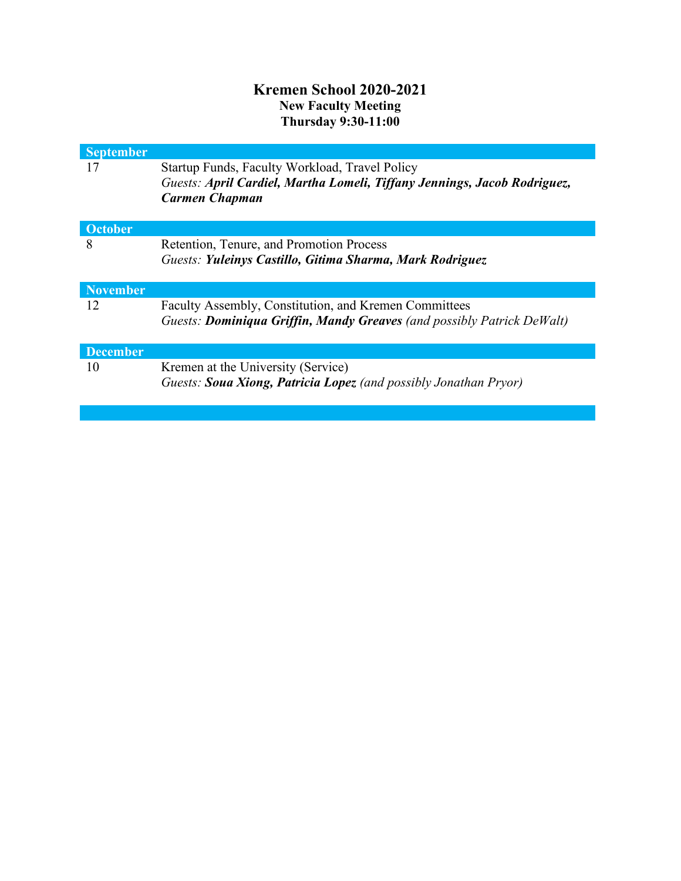## **Kremen School 2020-2021 New Faculty Meeting Thursday 9:30-11:00**

| <b>September</b><br>17 | Startup Funds, Faculty Workload, Travel Policy<br>Guests: April Cardiel, Martha Lomeli, Tiffany Jennings, Jacob Rodriguez,<br><b>Carmen Chapman</b> |
|------------------------|-----------------------------------------------------------------------------------------------------------------------------------------------------|
| October                |                                                                                                                                                     |
| 8                      | Retention, Tenure, and Promotion Process<br>Guests: Yuleinys Castillo, Gitima Sharma, Mark Rodriguez                                                |
| <b>November</b>        |                                                                                                                                                     |
| 12                     | Faculty Assembly, Constitution, and Kremen Committees<br>Guests: <b>Dominiqua Griffin, Mandy Greaves</b> (and possibly Patrick DeWalt)              |
| <b>December</b>        |                                                                                                                                                     |
| 10                     | Kremen at the University (Service)<br>Guests: Soua Xiong, Patricia Lopez (and possibly Jonathan Pryor)                                              |